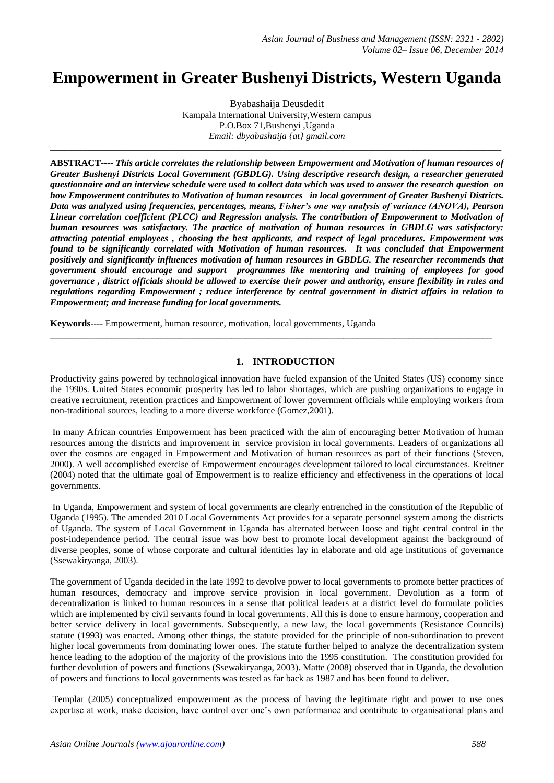# **Empowerment in Greater Bushenyi Districts, Western Uganda**

Byabashaija Deusdedit Kampala International University,Western campus P.O.Box 71,Bushenyi ,Uganda *Email: dbyabashaija {at} gmail.com*

**\_\_\_\_\_\_\_\_\_\_\_\_\_\_\_\_\_\_\_\_\_\_\_\_\_\_\_\_\_\_\_\_\_\_\_\_\_\_\_\_\_\_\_\_\_\_\_\_\_\_\_\_\_\_\_\_\_\_\_\_\_\_\_\_\_\_\_\_\_\_\_\_\_\_\_\_\_\_\_\_\_\_\_\_\_\_\_\_\_\_\_\_\_\_\_\_\_**

**ABSTRACT----** *This article correlates the relationship between Empowerment and Motivation of human resources of Greater Bushenyi Districts Local Government (GBDLG). Using descriptive research design, a researcher generated questionnaire and an interview schedule were used to collect data which was used to answer the research question on how Empowerment contributes to Motivation of human resources in local government of Greater Bushenyi Districts. Data was analyzed using frequencies, percentages, means, Fisher's one way analysis of variance (ANOVA), Pearson Linear correlation coefficient (PLCC) and Regression analysis. The contribution of Empowerment to Motivation of human resources was satisfactory. The practice of motivation of human resources in GBDLG was satisfactory: attracting potential employees , choosing the best applicants, and respect of legal procedures. Empowerment was found to be significantly correlated with Motivation of human resources. It was concluded that Empowerment positively and significantly influences motivation of human resources in GBDLG. The researcher recommends that government should encourage and support programmes like mentoring and training of employees for good governance , district officials should be allowed to exercise their power and authority, ensure flexibility in rules and regulations regarding Empowerment ; reduce interference by central government in district affairs in relation to Empowerment; and increase funding for local governments.*

**Keywords----** Empowerment, human resource, motivation, local governments, Uganda

# **1. INTRODUCTION**

Productivity gains powered by technological innovation have fueled expansion of the United States (US) economy since the 1990s. United States economic prosperity has led to labor shortages, which are pushing organizations to engage in creative recruitment, retention practices and Empowerment of lower government officials while employing workers from non-traditional sources, leading to a more diverse workforce (Gomez,2001).

\_\_\_\_\_\_\_\_\_\_\_\_\_\_\_\_\_\_\_\_\_\_\_\_\_\_\_\_\_\_\_\_\_\_\_\_\_\_\_\_\_\_\_\_\_\_\_\_\_\_\_\_\_\_\_\_\_\_\_\_\_\_\_\_\_\_\_\_\_\_\_\_\_\_\_\_\_\_\_\_\_\_\_\_\_\_\_\_\_\_\_\_\_\_\_

In many African countries Empowerment has been practiced with the aim of encouraging better Motivation of human resources among the districts and improvement in service provision in local governments. Leaders of organizations all over the cosmos are engaged in Empowerment and Motivation of human resources as part of their functions (Steven, 2000). A well accomplished exercise of Empowerment encourages development tailored to local circumstances. Kreitner (2004) noted that the ultimate goal of Empowerment is to realize efficiency and effectiveness in the operations of local governments.

In Uganda, Empowerment and system of local governments are clearly entrenched in the constitution of the Republic of Uganda (1995). The amended 2010 Local Governments Act provides for a separate personnel system among the districts of Uganda. The system of Local Government in Uganda has alternated between loose and tight central control in the post-independence period. The central issue was how best to promote local development against the background of diverse peoples, some of whose corporate and cultural identities lay in elaborate and old age institutions of governance (Ssewakiryanga, 2003).

The government of Uganda decided in the late 1992 to devolve power to local governments to promote better practices of human resources, democracy and improve service provision in local government. Devolution as a form of decentralization is linked to human resources in a sense that political leaders at a district level do formulate policies which are implemented by civil servants found in local governments. All this is done to ensure harmony, cooperation and better service delivery in local governments. Subsequently, a new law, the local governments (Resistance Councils) statute (1993) was enacted. Among other things, the statute provided for the principle of non-subordination to prevent higher local governments from dominating lower ones. The statute further helped to analyze the decentralization system hence leading to the adoption of the majority of the provisions into the 1995 constitution. The constitution provided for further devolution of powers and functions (Ssewakiryanga, 2003). Matte (2008) observed that in Uganda, the devolution of powers and functions to local governments was tested as far back as 1987 and has been found to deliver.

Templar (2005) conceptualized empowerment as the process of having the legitimate right and power to use ones expertise at work, make decision, have control over one's own performance and contribute to organisational plans and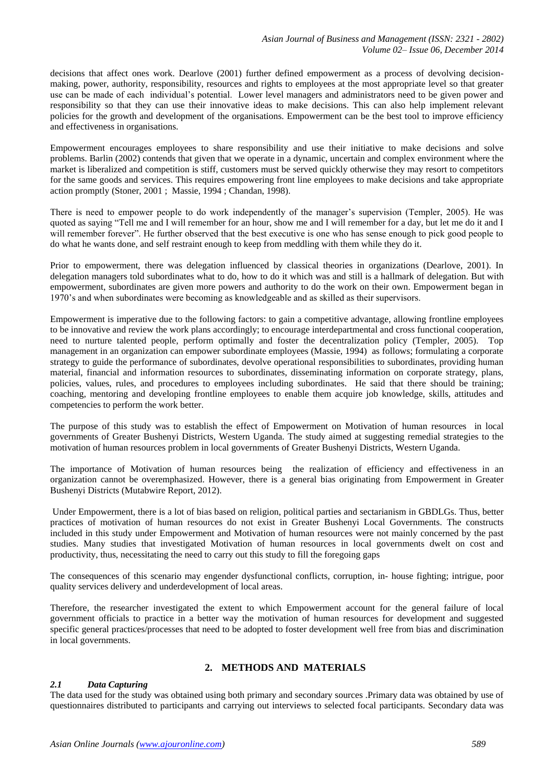decisions that affect ones work. Dearlove (2001) further defined empowerment as a process of devolving decisionmaking, power, authority, responsibility, resources and rights to employees at the most appropriate level so that greater use can be made of each individual's potential. Lower level managers and administrators need to be given power and responsibility so that they can use their innovative ideas to make decisions. This can also help implement relevant policies for the growth and development of the organisations. Empowerment can be the best tool to improve efficiency and effectiveness in organisations.

Empowerment encourages employees to share responsibility and use their initiative to make decisions and solve problems. Barlin (2002) contends that given that we operate in a dynamic, uncertain and complex environment where the market is liberalized and competition is stiff, customers must be served quickly otherwise they may resort to competitors for the same goods and services. This requires empowering front line employees to make decisions and take appropriate action promptly (Stoner, 2001 ; Massie, 1994 ; Chandan, 1998).

There is need to empower people to do work independently of the manager's supervision (Templer, 2005). He was quoted as saying "Tell me and I will remember for an hour, show me and I will remember for a day, but let me do it and I will remember forever". He further observed that the best executive is one who has sense enough to pick good people to do what he wants done, and self restraint enough to keep from meddling with them while they do it.

Prior to empowerment, there was delegation influenced by classical theories in organizations (Dearlove, 2001). In delegation managers told subordinates what to do, how to do it which was and still is a hallmark of delegation. But with empowerment, subordinates are given more powers and authority to do the work on their own. Empowerment began in 1970's and when subordinates were becoming as knowledgeable and as skilled as their supervisors.

Empowerment is imperative due to the following factors: to gain a competitive advantage, allowing frontline employees to be innovative and review the work plans accordingly; to encourage interdepartmental and cross functional cooperation, need to nurture talented people, perform optimally and foster the decentralization policy (Templer, 2005). Top management in an organization can empower subordinate employees (Massie, 1994) as follows; formulating a corporate strategy to guide the performance of subordinates, devolve operational responsibilities to subordinates, providing human material, financial and information resources to subordinates, disseminating information on corporate strategy, plans, policies, values, rules, and procedures to employees including subordinates. He said that there should be training; coaching, mentoring and developing frontline employees to enable them acquire job knowledge, skills, attitudes and competencies to perform the work better.

The purpose of this study was to establish the effect of Empowerment on Motivation of human resources in local governments of Greater Bushenyi Districts, Western Uganda. The study aimed at suggesting remedial strategies to the motivation of human resources problem in local governments of Greater Bushenyi Districts, Western Uganda.

The importance of Motivation of human resources being the realization of efficiency and effectiveness in an organization cannot be overemphasized. However, there is a general bias originating from Empowerment in Greater Bushenyi Districts (Mutabwire Report, 2012).

Under Empowerment, there is a lot of bias based on religion, political parties and sectarianism in GBDLGs. Thus, better practices of motivation of human resources do not exist in Greater Bushenyi Local Governments. The constructs included in this study under Empowerment and Motivation of human resources were not mainly concerned by the past studies. Many studies that investigated Motivation of human resources in local governments dwelt on cost and productivity, thus, necessitating the need to carry out this study to fill the foregoing gaps

The consequences of this scenario may engender dysfunctional conflicts, corruption, in- house fighting; intrigue, poor quality services delivery and underdevelopment of local areas.

Therefore, the researcher investigated the extent to which Empowerment account for the general failure of local government officials to practice in a better way the motivation of human resources for development and suggested specific general practices/processes that need to be adopted to foster development well free from bias and discrimination in local governments.

# **2. METHODS AND MATERIALS**

# *2.1 Data Capturing*

The data used for the study was obtained using both primary and secondary sources .Primary data was obtained by use of questionnaires distributed to participants and carrying out interviews to selected focal participants. Secondary data was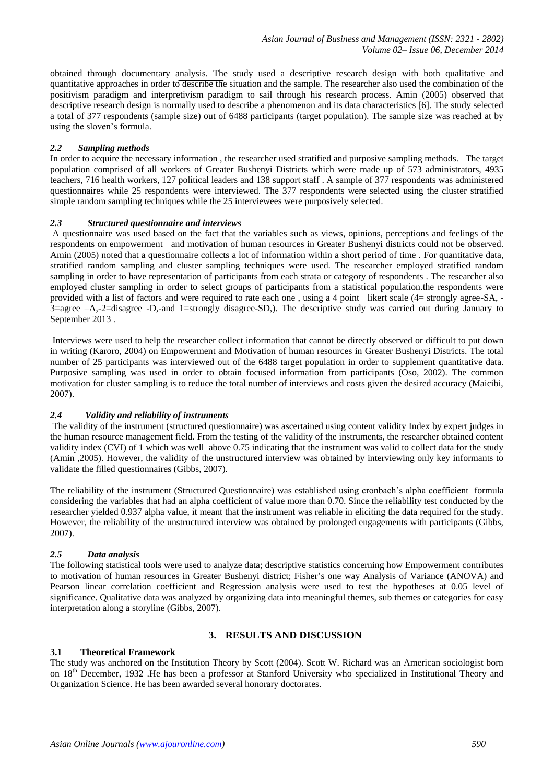obtained through documentary analysis. The study used a descriptive research design with both qualitative and quantitative approaches in order to describe the situation and the sample. The researcher also used the combination of the positivism paradigm and interpretivism paradigm to sail through his research process. Amin (2005) observed that descriptive research design is normally used to describe a phenomenon and its data characteristics [6]. The study selected a total of 377 respondents (sample size) out of 6488 participants (target population). The sample size was reached at by using the sloven's formula.

### *2.2 Sampling methods*

In order to acquire the necessary information , the researcher used stratified and purposive sampling methods. The target population comprised of all workers of Greater Bushenyi Districts which were made up of 573 administrators, 4935 teachers, 716 health workers, 127 political leaders and 138 support staff . A sample of 377 respondents was administered questionnaires while 25 respondents were interviewed. The 377 respondents were selected using the cluster stratified simple random sampling techniques while the 25 interviewees were purposively selected.

#### *2.3 Structured questionnaire and interviews*

A questionnaire was used based on the fact that the variables such as views, opinions, perceptions and feelings of the respondents on empowerment and motivation of human resources in Greater Bushenyi districts could not be observed. Amin (2005) noted that a questionnaire collects a lot of information within a short period of time . For quantitative data, stratified random sampling and cluster sampling techniques were used. The researcher employed stratified random sampling in order to have representation of participants from each strata or category of respondents . The researcher also employed cluster sampling in order to select groups of participants from a statistical population.the respondents were provided with a list of factors and were required to rate each one , using a 4 point likert scale (4= strongly agree-SA, - 3=agree –A,-2=disagree -D,-and 1=strongly disagree-SD,). The descriptive study was carried out during January to September 2013 .

Interviews were used to help the researcher collect information that cannot be directly observed or difficult to put down in writing (Karoro, 2004) on Empowerment and Motivation of human resources in Greater Bushenyi Districts. The total number of 25 participants was interviewed out of the 6488 target population in order to supplement quantitative data. Purposive sampling was used in order to obtain focused information from participants (Oso, 2002). The common motivation for cluster sampling is to reduce the total number of interviews and costs given the desired accuracy (Maicibi, 2007).

# *2.4 Validity and reliability of instruments*

The validity of the instrument (structured questionnaire) was ascertained using content validity Index by expert judges in the human resource management field. From the testing of the validity of the instruments, the researcher obtained content validity index (CVI) of 1 which was well above 0.75 indicating that the instrument was valid to collect data for the study (Amin ,2005). However, the validity of the unstructured interview was obtained by interviewing only key informants to validate the filled questionnaires (Gibbs, 2007).

The reliability of the instrument (Structured Questionnaire) was established using cronbach's alpha coefficient formula considering the variables that had an alpha coefficient of value more than 0.70. Since the reliability test conducted by the researcher yielded 0.937 alpha value, it meant that the instrument was reliable in eliciting the data required for the study. However, the reliability of the unstructured interview was obtained by prolonged engagements with participants (Gibbs, 2007).

# *2.5 Data analysis*

The following statistical tools were used to analyze data; descriptive statistics concerning how Empowerment contributes to motivation of human resources in Greater Bushenyi district; Fisher's one way Analysis of Variance (ANOVA) and Pearson linear correlation coefficient and Regression analysis were used to test the hypotheses at 0.05 level of significance. Qualitative data was analyzed by organizing data into meaningful themes, sub themes or categories for easy interpretation along a storyline (Gibbs, 2007).

# **3. RESULTS AND DISCUSSION**

#### **3.1 Theoretical Framework**

The study was anchored on the Institution Theory by Scott (2004). Scott W. Richard was an American sociologist born on 18<sup>th</sup> December, 1932 .He has been a professor at Stanford University who specialized in Institutional Theory and Organization Science. He has been awarded several honorary doctorates.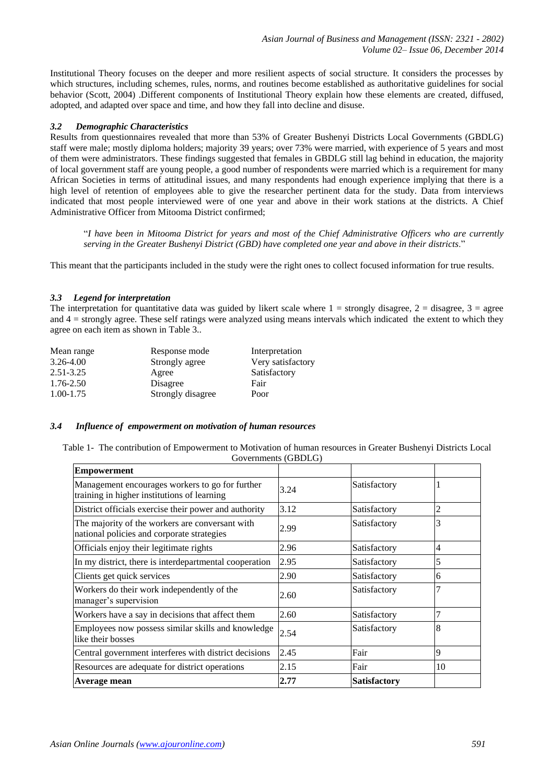Institutional Theory focuses on the deeper and more resilient aspects of social structure. It considers the processes by which structures, including schemes, rules, norms, and routines become established as authoritative guidelines for social behavior (Scott, 2004) .Different components of Institutional Theory explain how these elements are created, diffused, adopted, and adapted over space and time, and how they fall into decline and disuse.

# *3.2 Demographic Characteristics*

Results from questionnaires revealed that more than 53% of Greater Bushenyi Districts Local Governments (GBDLG) staff were male; mostly diploma holders; majority 39 years; over 73% were married, with experience of 5 years and most of them were administrators. These findings suggested that females in GBDLG still lag behind in education, the majority of local government staff are young people, a good number of respondents were married which is a requirement for many African Societies in terms of attitudinal issues, and many respondents had enough experience implying that there is a high level of retention of employees able to give the researcher pertinent data for the study. Data from interviews indicated that most people interviewed were of one year and above in their work stations at the districts. A Chief Administrative Officer from Mitooma District confirmed;

"*I have been in Mitooma District for years and most of the Chief Administrative Officers who are currently serving in the Greater Bushenyi District (GBD) have completed one year and above in their districts*."

This meant that the participants included in the study were the right ones to collect focused information for true results.

# *3.3 Legend for interpretation*

The interpretation for quantitative data was guided by likert scale where  $1 =$  strongly disagree,  $2 =$  disagree,  $3 =$  agree and  $4 =$  strongly agree. These self ratings were analyzed using means intervals which indicated the extent to which they agree on each item as shown in Table 3..

| Mean range    | Response mode     | Interpretation    |
|---------------|-------------------|-------------------|
| $3.26 - 4.00$ | Strongly agree    | Very satisfactory |
| $2.51 - 3.25$ | Agree             | Satisfactory      |
| $1.76 - 2.50$ | Disagree          | Fair              |
| $1.00 - 1.75$ | Strongly disagree | Poor              |

#### *3.4 Influence of empowerment on motivation of human resources*

Table 1- The contribution of Empowerment to Motivation of human resources in Greater Bushenyi Districts Local Governments (GBDLG)

| <b>Empowerment</b>                                                                             |      |                     |                |
|------------------------------------------------------------------------------------------------|------|---------------------|----------------|
| Management encourages workers to go for further<br>training in higher institutions of learning | 3.24 | Satisfactory        |                |
| District officials exercise their power and authority                                          | 3.12 | Satisfactory        | 2              |
| The majority of the workers are conversant with<br>national policies and corporate strategies  | 2.99 | Satisfactory        | 3              |
| Officials enjoy their legitimate rights                                                        | 2.96 | Satisfactory        | $\overline{4}$ |
| In my district, there is interdepartmental cooperation                                         | 2.95 | Satisfactory        | 5              |
| Clients get quick services                                                                     | 2.90 | Satisfactory        | 6              |
| Workers do their work independently of the<br>manager's supervision                            | 2.60 | Satisfactory        | 7              |
| Workers have a say in decisions that affect them                                               | 2.60 | Satisfactory        |                |
| Employees now possess similar skills and knowledge<br>like their bosses                        | 2.54 | Satisfactory        | 8              |
| Central government interferes with district decisions                                          | 2.45 | Fair                | 9              |
| Resources are adequate for district operations                                                 | 2.15 | Fair                | 10             |
| Average mean                                                                                   | 2.77 | <b>Satisfactory</b> |                |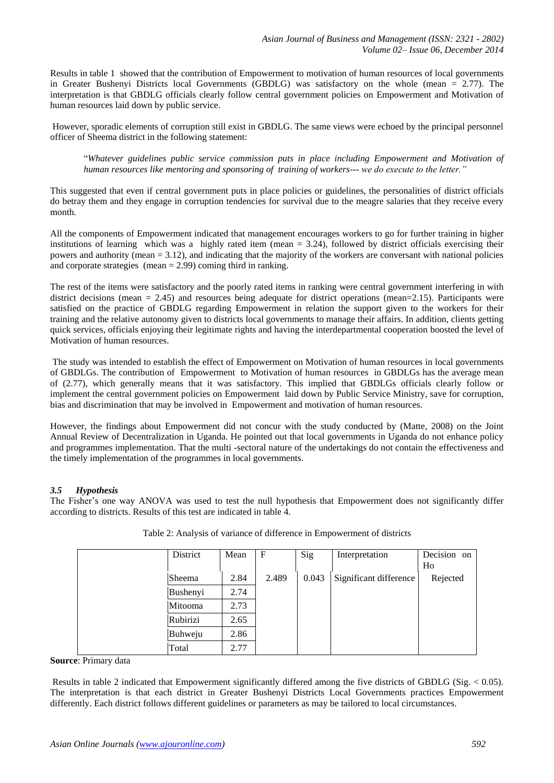Results in table 1 showed that the contribution of Empowerment to motivation of human resources of local governments in Greater Bushenyi Districts local Governments (GBDLG) was satisfactory on the whole (mean = 2.77). The interpretation is that GBDLG officials clearly follow central government policies on Empowerment and Motivation of human resources laid down by public service.

However, sporadic elements of corruption still exist in GBDLG. The same views were echoed by the principal personnel officer of Sheema district in the following statement:

"*Whatever guidelines public service commission puts in place including Empowerment and Motivation of human resources like mentoring and sponsoring of training of workers--- we do execute to the letter."*

This suggested that even if central government puts in place policies or guidelines, the personalities of district officials do betray them and they engage in corruption tendencies for survival due to the meagre salaries that they receive every month.

All the components of Empowerment indicated that management encourages workers to go for further training in higher institutions of learning which was a highly rated item (mean = 3.24), followed by district officials exercising their powers and authority (mean = 3.12), and indicating that the majority of the workers are conversant with national policies and corporate strategies (mean  $= 2.99$ ) coming third in ranking.

The rest of the items were satisfactory and the poorly rated items in ranking were central government interfering in with district decisions (mean  $= 2.45$ ) and resources being adequate for district operations (mean=2.15). Participants were satisfied on the practice of GBDLG regarding Empowerment in relation the support given to the workers for their training and the relative autonomy given to districts local governments to manage their affairs. In addition, clients getting quick services, officials enjoying their legitimate rights and having the interdepartmental cooperation boosted the level of Motivation of human resources.

The study was intended to establish the effect of Empowerment on Motivation of human resources in local governments of GBDLGs. The contribution of Empowerment to Motivation of human resources in GBDLGs has the average mean of (2.77), which generally means that it was satisfactory. This implied that GBDLGs officials clearly follow or implement the central government policies on Empowerment laid down by Public Service Ministry, save for corruption, bias and discrimination that may be involved in Empowerment and motivation of human resources.

However, the findings about Empowerment did not concur with the study conducted by (Matte, 2008) on the Joint Annual Review of Decentralization in Uganda. He pointed out that local governments in Uganda do not enhance policy and programmes implementation. That the multi -sectoral nature of the undertakings do not contain the effectiveness and the timely implementation of the programmes in local governments.

# *3.5 Hypothesis*

The Fisher's one way ANOVA was used to test the null hypothesis that Empowerment does not significantly differ according to districts. Results of this test are indicated in table 4.

| District      | Mean | $\mathbf F$ | Sig   | Interpretation         | Decision on<br>Ho |
|---------------|------|-------------|-------|------------------------|-------------------|
| <b>Sheema</b> | 2.84 | 2.489       | 0.043 | Significant difference | Rejected          |
| Bushenyi      | 2.74 |             |       |                        |                   |
| Mitooma       | 2.73 |             |       |                        |                   |
| Rubirizi      | 2.65 |             |       |                        |                   |
| Buhweju       | 2.86 |             |       |                        |                   |
| Total         | 2.77 |             |       |                        |                   |

|  |  | Table 2: Analysis of variance of difference in Empowerment of districts |  |
|--|--|-------------------------------------------------------------------------|--|
|  |  |                                                                         |  |

**Source**: Primary data

Results in table 2 indicated that Empowerment significantly differed among the five districts of GBDLG (Sig.  $< 0.05$ ). The interpretation is that each district in Greater Bushenyi Districts Local Governments practices Empowerment differently. Each district follows different guidelines or parameters as may be tailored to local circumstances.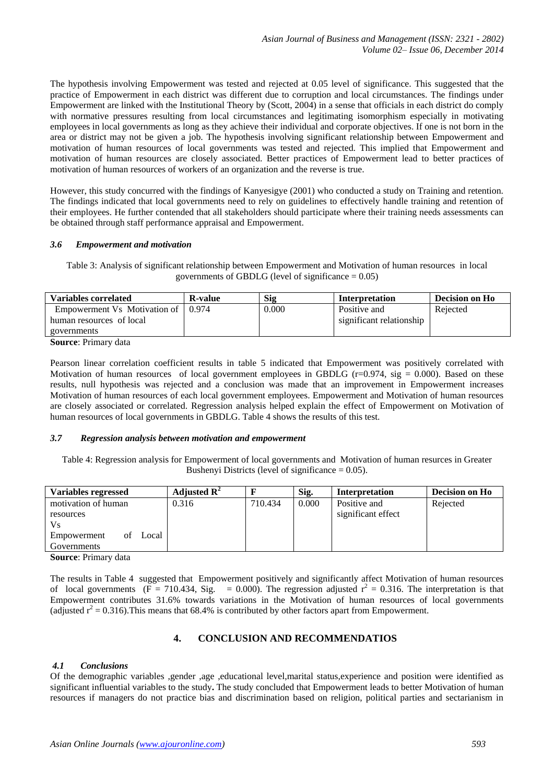The hypothesis involving Empowerment was tested and rejected at 0.05 level of significance. This suggested that the practice of Empowerment in each district was different due to corruption and local circumstances. The findings under Empowerment are linked with the Institutional Theory by (Scott, 2004) in a sense that officials in each district do comply with normative pressures resulting from local circumstances and legitimating isomorphism especially in motivating employees in local governments as long as they achieve their individual and corporate objectives. If one is not born in the area or district may not be given a job. The hypothesis involving significant relationship between Empowerment and motivation of human resources of local governments was tested and rejected. This implied that Empowerment and motivation of human resources are closely associated. Better practices of Empowerment lead to better practices of motivation of human resources of workers of an organization and the reverse is true.

However, this study concurred with the findings of Kanyesigye (2001) who conducted a study on Training and retention. The findings indicated that local governments need to rely on guidelines to effectively handle training and retention of their employees. He further contended that all stakeholders should participate where their training needs assessments can be obtained through staff performance appraisal and Empowerment.

#### *3.6 Empowerment and motivation*

Table 3: Analysis of significant relationship between Empowerment and Motivation of human resources in local governments of GBDLG (level of significance  $= 0.05$ )

| <b>Variables correlated</b>  | <b>R</b> -value | <b>Sig</b> | <b>Interpretation</b>    | <b>Decision on Ho</b> |
|------------------------------|-----------------|------------|--------------------------|-----------------------|
| Empowerment Vs Motivation of | 0.974           | 0.000      | Positive and             | Rejected              |
| human resources of local     |                 |            | significant relationship |                       |
| governments                  |                 |            |                          |                       |
| $\sim$<br>$\mathbf{r}$ .     |                 |            |                          |                       |

**Source**: Primary data

Pearson linear correlation coefficient results in table 5 indicated that Empowerment was positively correlated with Motivation of human resources of local government employees in GBDLG (r=0.974, sig = 0.000). Based on these results, null hypothesis was rejected and a conclusion was made that an improvement in Empowerment increases Motivation of human resources of each local government employees. Empowerment and Motivation of human resources are closely associated or correlated. Regression analysis helped explain the effect of Empowerment on Motivation of human resources of local governments in GBDLG. Table 4 shows the results of this test.

#### *3.7 Regression analysis between motivation and empowerment*

Table 4: Regression analysis for Empowerment of local governments and Motivation of human resurces in Greater Bushenyi Districts (level of significance  $= 0.05$ ).

| Variables regressed        | Adjusted $\mathbb{R}^2$ |         | Sig.  | <b>Interpretation</b> | Decision on Ho |
|----------------------------|-------------------------|---------|-------|-----------------------|----------------|
| motivation of human        | 0.316                   | 710.434 | 0.000 | Positive and          | Rejected       |
| resources                  |                         |         |       | significant effect    |                |
| Vs.                        |                         |         |       |                       |                |
| Local<br>Empowerment<br>of |                         |         |       |                       |                |
| Governments                |                         |         |       |                       |                |

**Source**: Primary data

The results in Table 4 suggested that Empowerment positively and significantly affect Motivation of human resources of local governments ( $\overline{F} = 710.434$ , Sig. = 0.000). The regression adjusted  $r^2 = 0.316$ . The interpretation is that Empowerment contributes 31.6% towards variations in the Motivation of human resources of local governments (adjusted  $r^2 = 0.316$ ). This means that 68.4% is contributed by other factors apart from Empowerment.

# **4. CONCLUSION AND RECOMMENDATIOS**

#### *4.1 Conclusions*

Of the demographic variables ,gender ,age ,educational level,marital status,experience and position were identified as significant influential variables to the study**.** The study concluded that Empowerment leads to better Motivation of human resources if managers do not practice bias and discrimination based on religion, political parties and sectarianism in